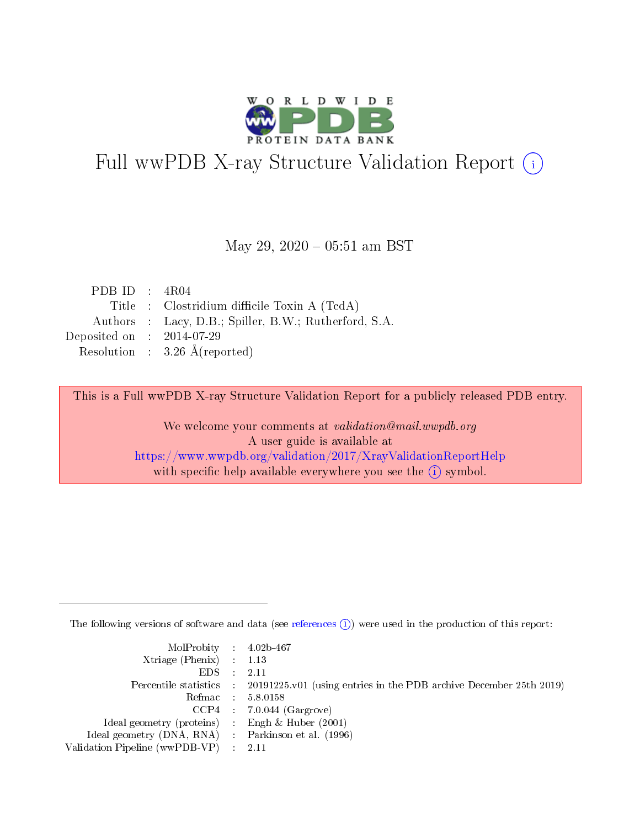

# Full wwPDB X-ray Structure Validation Report (i)

#### May 29,  $2020 - 05:51$  am BST

| PDB ID : $4R04$             |                                                       |
|-----------------------------|-------------------------------------------------------|
|                             | Title : Clostridium difficile Toxin A (TcdA)          |
|                             | Authors : Lacy, D.B.; Spiller, B.W.; Rutherford, S.A. |
| Deposited on : $2014-07-29$ |                                                       |
|                             | Resolution : $3.26 \text{ Å}$ (reported)              |

This is a Full wwPDB X-ray Structure Validation Report for a publicly released PDB entry.

We welcome your comments at validation@mail.wwpdb.org A user guide is available at <https://www.wwpdb.org/validation/2017/XrayValidationReportHelp> with specific help available everywhere you see the  $(i)$  symbol.

The following versions of software and data (see [references](https://www.wwpdb.org/validation/2017/XrayValidationReportHelp#references)  $(i)$ ) were used in the production of this report:

| MolProbity : 4.02b-467                              |                                                                                            |
|-----------------------------------------------------|--------------------------------------------------------------------------------------------|
| $Xtriangle (Phenix)$ : 1.13                         |                                                                                            |
| $EDS = 2.11$                                        |                                                                                            |
|                                                     | Percentile statistics : 20191225.v01 (using entries in the PDB archive December 25th 2019) |
|                                                     | Refmac : 5.8.0158                                                                          |
|                                                     | $CCP4$ 7.0.044 (Gargrove)                                                                  |
| Ideal geometry (proteins) : Engh $\&$ Huber (2001)  |                                                                                            |
| Ideal geometry (DNA, RNA) : Parkinson et al. (1996) |                                                                                            |
| Validation Pipeline (wwPDB-VP) : 2.11               |                                                                                            |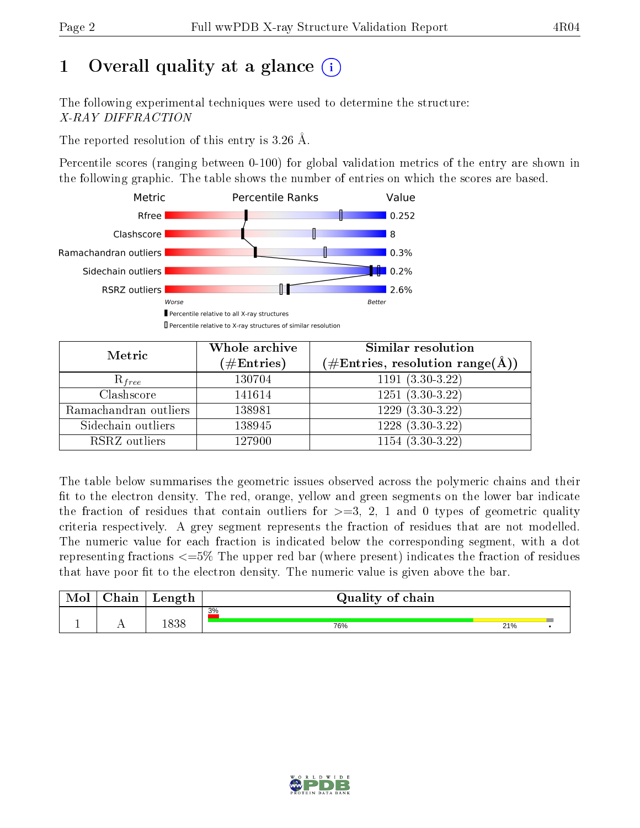# 1 [O](https://www.wwpdb.org/validation/2017/XrayValidationReportHelp#overall_quality)verall quality at a glance  $(i)$

The following experimental techniques were used to determine the structure: X-RAY DIFFRACTION

The reported resolution of this entry is 3.26 Å.

Percentile scores (ranging between 0-100) for global validation metrics of the entry are shown in the following graphic. The table shows the number of entries on which the scores are based.



| Metric                | Whole archive<br>$(\#\text{Entries})$ | <b>Similar resolution</b><br>$(\#\text{Entries}, \text{resolution range}(\text{\AA}))$ |
|-----------------------|---------------------------------------|----------------------------------------------------------------------------------------|
| $R_{free}$            | 130704                                | $1191(3.30-3.22)$                                                                      |
| Clashscore            | 141614                                | $1251(3.30-3.22)$                                                                      |
| Ramachandran outliers | 138981                                | $1229(3.30-3.22)$                                                                      |
| Sidechain outliers    | 138945                                | $1228(3.30-3.22)$                                                                      |
| RSRZ outliers         | 127900                                | $1154(3.30-3.22)$                                                                      |

The table below summarises the geometric issues observed across the polymeric chains and their fit to the electron density. The red, orange, yellow and green segments on the lower bar indicate the fraction of residues that contain outliers for  $>=3, 2, 1$  and 0 types of geometric quality criteria respectively. A grey segment represents the fraction of residues that are not modelled. The numeric value for each fraction is indicated below the corresponding segment, with a dot representing fractions  $\epsilon=5\%$  The upper red bar (where present) indicates the fraction of residues that have poor fit to the electron density. The numeric value is given above the bar.

| Mol | $\cap$ hain | Length | Quality of chain |     |  |
|-----|-------------|--------|------------------|-----|--|
|     |             |        | 3%               |     |  |
|     |             | 1838   | 76%              | 21% |  |

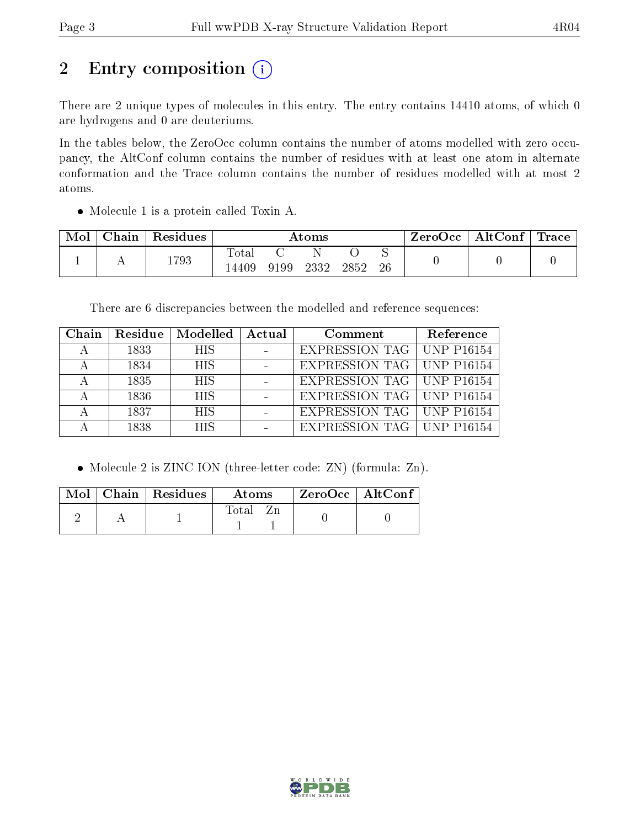# 2 Entry composition (i)

There are 2 unique types of molecules in this entry. The entry contains 14410 atoms, of which 0 are hydrogens and 0 are deuteriums.

In the tables below, the ZeroOcc column contains the number of atoms modelled with zero occupancy, the AltConf column contains the number of residues with at least one atom in alternate conformation and the Trace column contains the number of residues modelled with at most 2 atoms.

Molecule 1 is a protein called Toxin A.

| Mol | Chain | Residues | Atoms          |      |      |      | ZeroOcc | AltConf $\vert$ | <b>Trace</b> |  |
|-----|-------|----------|----------------|------|------|------|---------|-----------------|--------------|--|
|     |       | 1793     | Total<br>4409ء | 9199 | 2332 | 2852 | 26      |                 |              |  |

There are 6 discrepancies between the modelled and reference sequences:

| Chain | Residue | Modelled   | Actual | Comment                            | Reference |
|-------|---------|------------|--------|------------------------------------|-----------|
|       | 1833    | <b>HIS</b> |        | <b>EXPRESSION TAG   UNP P16154</b> |           |
|       | 1834    | <b>HIS</b> |        | EXPRESSION TAG   UNP P16154        |           |
|       | 1835    | <b>HIS</b> |        | EXPRESSION TAG   UNP P16154        |           |
|       | 1836    | <b>HIS</b> |        | EXPRESSION TAG   UNP P16154        |           |
|       | 1837    | <b>HIS</b> |        | EXPRESSION TAG   UNP P16154        |           |
|       | 1838    | <b>HIS</b> |        | <b>EXPRESSION TAG   UNP P16154</b> |           |

• Molecule 2 is ZINC ION (three-letter code: ZN) (formula: Zn).

|  | Mol   Chain   Residues | Atoms | $\mid$ ZeroOcc $\mid$ AltConf |  |
|--|------------------------|-------|-------------------------------|--|
|  |                        | Total |                               |  |

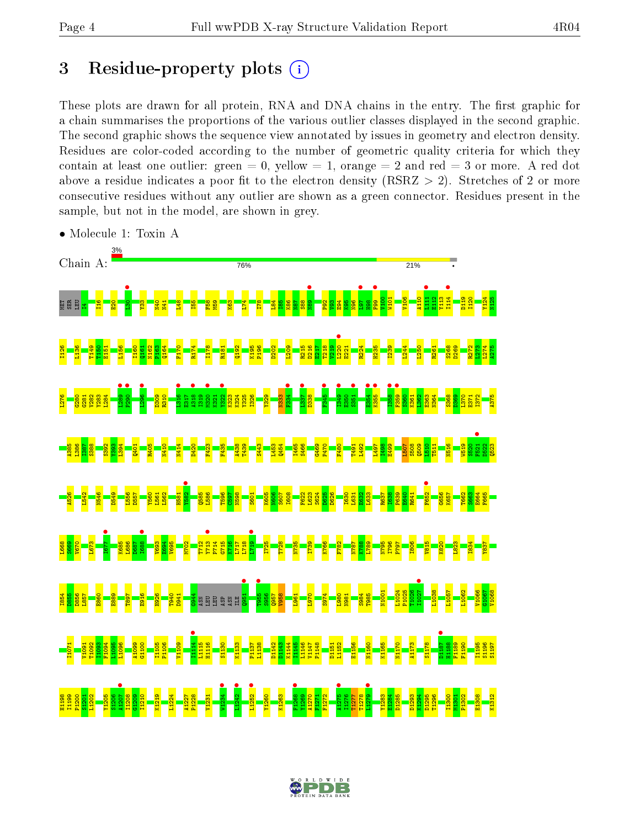## 3 Residue-property plots  $(i)$

These plots are drawn for all protein, RNA and DNA chains in the entry. The first graphic for a chain summarises the proportions of the various outlier classes displayed in the second graphic. The second graphic shows the sequence view annotated by issues in geometry and electron density. Residues are color-coded according to the number of geometric quality criteria for which they contain at least one outlier: green  $= 0$ , yellow  $= 1$ , orange  $= 2$  and red  $= 3$  or more. A red dot above a residue indicates a poor fit to the electron density (RSRZ  $> 2$ ). Stretches of 2 or more consecutive residues without any outlier are shown as a green connector. Residues present in the sample, but not in the model, are shown in grey.



• Molecule 1: Toxin A

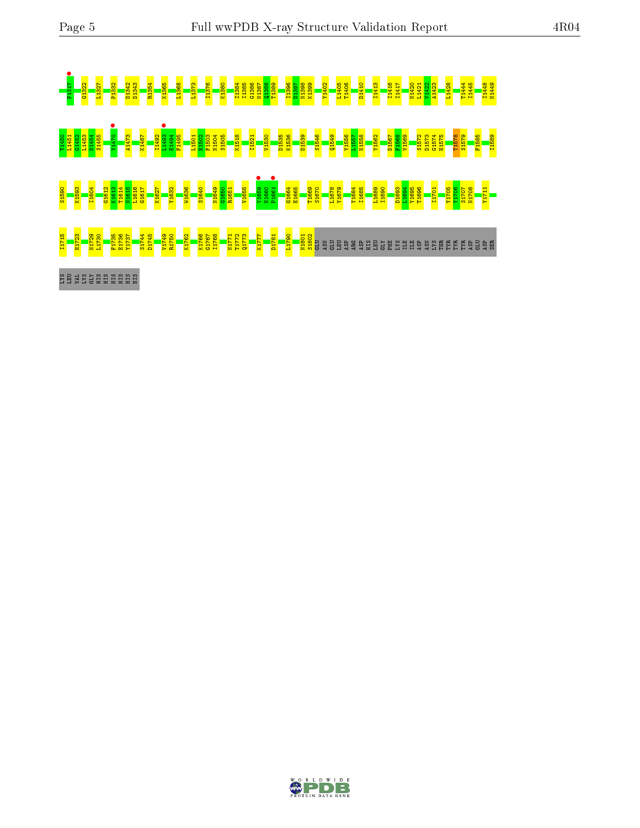

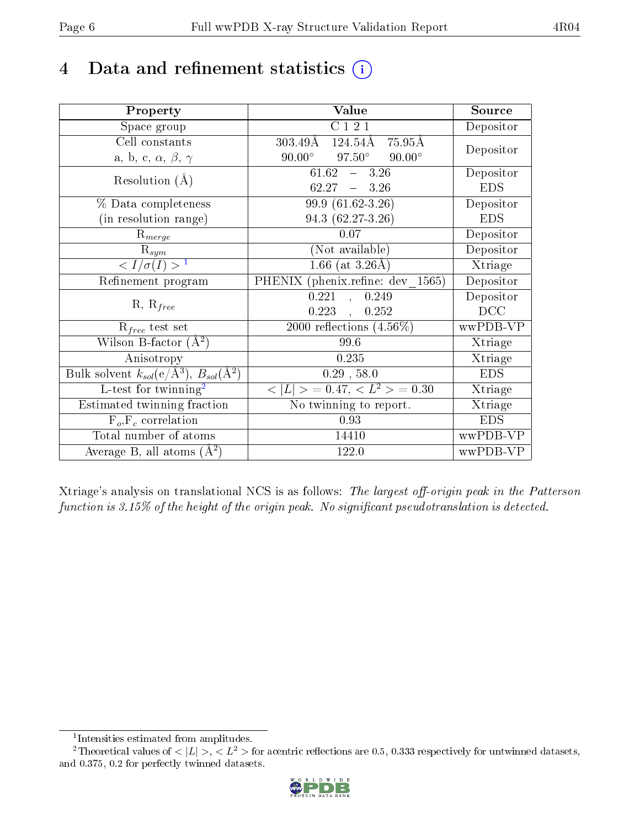## 4 Data and refinement statistics  $(i)$

| Property                                                             | Value                                           | Source     |
|----------------------------------------------------------------------|-------------------------------------------------|------------|
| Space group                                                          | $\overline{\text{C}}$ 1 2 1                     | Depositor  |
| Cell constants                                                       | $303.49\rm\AA$<br>124.54Å<br>75.95Å             |            |
| a, b, c, $\alpha$ , $\beta$ , $\gamma$                               | $97.50^\circ$<br>$90.00^\circ$<br>$90.00^\circ$ | Depositor  |
| Resolution $(A)$                                                     | $61.62 - 3.26$                                  | Depositor  |
|                                                                      | $62.27 - 3.26$                                  | <b>EDS</b> |
| % Data completeness                                                  | 99.9 (61.62-3.26)                               | Depositor  |
| (in resolution range)                                                | 94.3 (62.27-3.26)                               | <b>EDS</b> |
| $\mathrm{R}_{merge}$                                                 | $0.07\,$                                        | Depositor  |
| $\mathrm{R}_{sym}$                                                   | (Not available)                                 | Depositor  |
| $\langle I/\sigma(I)\rangle^{-1}$                                    | 1.66 (at $3.26\text{\AA}$ )                     | Xtriage    |
| Refinement program                                                   | PHENIX (phenix.refine: dev 1565)                | Depositor  |
| $R, R_{free}$                                                        | $0.221$ ,<br>0.249                              | Depositor  |
|                                                                      | 0.223,<br>0.252                                 | DCC        |
| $R_{free}$ test set                                                  | 2000 reflections $(4.56\%)$                     | wwPDB-VP   |
| Wilson B-factor $(A^2)$                                              | 99.6                                            | Xtriage    |
| Anisotropy                                                           | 0.235                                           | Xtriage    |
| Bulk solvent $k_{sol}(e/\mathring{A}^3)$ , $B_{sol}(\mathring{A}^2)$ | $0.29$ , 58.0                                   | <b>EDS</b> |
| L-test for twinning <sup>2</sup>                                     | $< L >$ = 0.47, $< L2 >$ = 0.30                 | Xtriage    |
| Estimated twinning fraction                                          | No twinning to report.                          | Xtriage    |
| $F_o, F_c$ correlation                                               | 0.93                                            | <b>EDS</b> |
| Total number of atoms                                                | 14410                                           | wwPDB-VP   |
| Average B, all atoms $(A^2)$                                         | 122.0                                           | wwPDB-VP   |

Xtriage's analysis on translational NCS is as follows: The largest off-origin peak in the Patterson function is  $3.15\%$  of the height of the origin peak. No significant pseudotranslation is detected.

<sup>&</sup>lt;sup>2</sup>Theoretical values of  $\langle |L| \rangle$ ,  $\langle L^2 \rangle$  for acentric reflections are 0.5, 0.333 respectively for untwinned datasets, and 0.375, 0.2 for perfectly twinned datasets.



<span id="page-5-1"></span><span id="page-5-0"></span><sup>1</sup> Intensities estimated from amplitudes.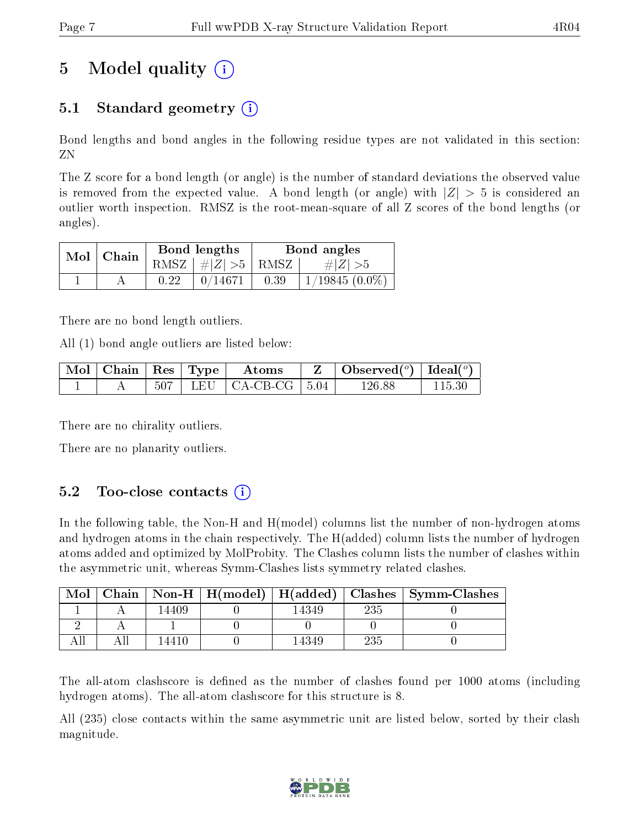## 5 Model quality  $(i)$

### 5.1 Standard geometry  $\overline{()}$

Bond lengths and bond angles in the following residue types are not validated in this section: ZN

The Z score for a bond length (or angle) is the number of standard deviations the observed value is removed from the expected value. A bond length (or angle) with  $|Z| > 5$  is considered an outlier worth inspection. RMSZ is the root-mean-square of all Z scores of the bond lengths (or angles).

|  | $Mol$   Chain |      | Bond lengths                   | Bond angles |                  |  |
|--|---------------|------|--------------------------------|-------------|------------------|--|
|  |               |      | RMSZ $\mid \#Z \mid >5$   RMSZ |             | $\# Z  > 5$      |  |
|  |               | 0.22 | 0/14671                        | 0.39        | $1/19845(0.0\%)$ |  |

There are no bond length outliers.

All (1) bond angle outliers are listed below:

| $\text{Mol}$ | $\Box$ Chain   Res   Type |  | Atoms                           | $\vert$ Observed $(^\circ)$ $\vert$ Ideal $(^\circ)$ |  |
|--------------|---------------------------|--|---------------------------------|------------------------------------------------------|--|
|              |                           |  | $507$   LEU   CA-CB-CG   $5.04$ | 126.88                                               |  |

There are no chirality outliers.

There are no planarity outliers.

### $5.2$  Too-close contacts  $(i)$

In the following table, the Non-H and H(model) columns list the number of non-hydrogen atoms and hydrogen atoms in the chain respectively. The H(added) column lists the number of hydrogen atoms added and optimized by MolProbity. The Clashes column lists the number of clashes within the asymmetric unit, whereas Symm-Clashes lists symmetry related clashes.

| Mol |       |       |     | Chain   Non-H   H(model)   H(added)   Clashes   Symm-Clashes |
|-----|-------|-------|-----|--------------------------------------------------------------|
|     | 14409 | 14349 | 235 |                                                              |
|     |       |       |     |                                                              |
|     | -4410 | 14349 | 235 |                                                              |

The all-atom clashscore is defined as the number of clashes found per 1000 atoms (including hydrogen atoms). The all-atom clashscore for this structure is 8.

All (235) close contacts within the same asymmetric unit are listed below, sorted by their clash magnitude.

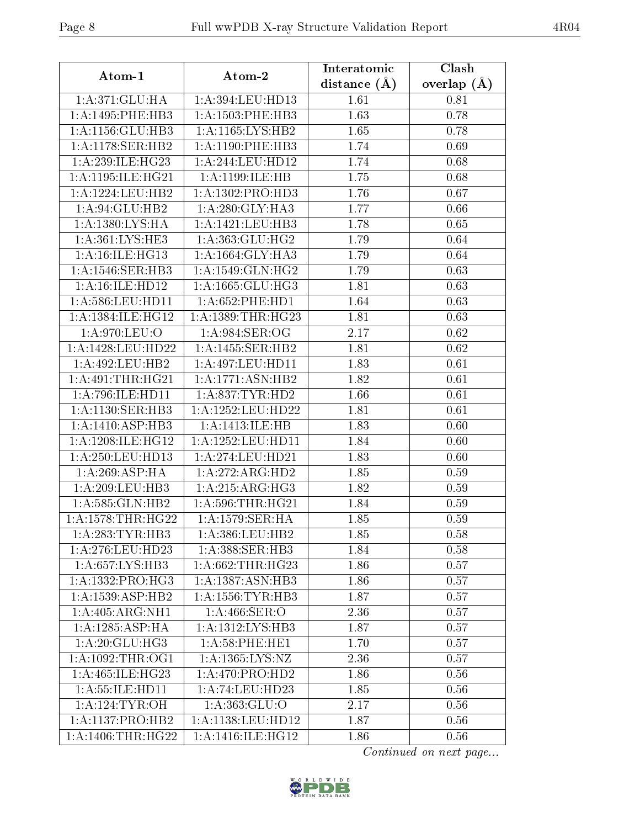| distance $(A)$<br>1: A:371: GLU: HA<br>1:A:394:LEU:HD13<br>1.61<br>0.81<br>1.63<br>1: A: 1495: PHE: HB3<br>1: A: 1503: PHE: HB3<br>0.78<br>1: A: 1156: GLU: HB3<br>1: A:1165:LYS:HB2<br>1.65<br>0.78<br>1: A:1178: SER:HB2<br>1.74<br>1:A:1190:PHE:HB3<br>0.69<br>1.74<br>1:A:239:ILE:HG23<br>1: A:244:LEU:HD12<br>0.68<br>1.75<br>1: A: 1195: ILE: HG21<br>1:A:1199:ILE:HB<br>0.68<br>1: A: 1224: LEU: HB2<br>1:A:1302:PRO:HD3<br>1.76<br>0.67<br>1:A:94:GLU:HB2<br>1: A:280: GLY:HA3<br>1.77<br>0.66<br>1: A: 1380: LYS: HA<br>1.78<br>1: A: 1421: LEU: HB3<br>0.65<br>1:A:361:LYS:HE3<br>1: A: 363: GLU: HG2<br>1.79<br>0.64<br>1:A:16:ILE:HG13<br>1:A:1664:GLY:HA3<br>1.79<br>0.64<br>$1: A:1546:$ SER:HB3<br>1:A:1549:GLN:HG2<br>1.79<br>0.63<br>1.81<br>1:A:16:ILE:HDI2<br>1:A:1665:GLU:HG3<br>0.63<br>1: A:586:LEU:HD11<br>1: A:652:PHE:HD1<br>1.64<br>0.63<br>1:A:1384:ILE:HG12<br>1:A:1389:THR:HG23<br>1.81<br>0.63<br>1:A:984:SER:OG<br>1: A:970: LEU:O<br>2.17<br>0.62<br>1:A:1428:LEU:HD22<br>1:A:1455:SER:HB2<br>1.81<br>0.62<br>1:A:492:LEU:HB2<br>1:A:497:LEU:HD11<br>1.83<br>0.61<br>1: A:491:THR:HG21<br>1:A:1771:ASN:HB2<br>0.61<br>1.82<br>1: A:796: ILE: HDI1<br>1: A:837:TYR:HD2<br>1.66<br>0.61<br>1: A:1130: SER: HB3<br>1:A:1252:LEU:HD22<br>1.81<br>0.61<br>1:A:1410:ASP:HB3<br>1.83<br>1: A:1413: ILE: HB<br>0.60<br>1: A:1208: ILE: HG12<br>1:A:1252:LEU:HD11<br>1.84<br>0.60<br>$1:$ A:250:LEU:HD13<br>1.83<br>1:A:274:LEU:HD21<br>0.60<br>1: A:269: ASP: HA<br>1:A:272:ARG:HD2<br>1.85<br>0.59<br>1:A:215:ARG:HG3<br>1:A:209:LEU:HB3<br>1.82<br>0.59<br>1:A:585:GLN:HB2<br>1:A:596:THR:HG21<br>1.84<br>0.59<br>1: A: 1578: THR: HG22<br>1: A: 1579: SER: HA<br>1.85<br>0.59<br>1:A:283:TYR:HB3<br>1:A:386:LEU:HB2<br>1.85<br>0.58<br>1: A: 388: SER: HB3<br>1:A:276:LEU:HD23<br>1.84<br>0.58<br>1:A:657:LYS:HB3<br>1: A:662:THR:HG23<br>1.86<br>0.57<br>1:A:1332:PRO:HG3<br>1:A:1387:ASN:HB3<br>1.86<br>0.57<br>1: A: 1539: ASP: HB2<br>1:A:1556:TYR:HB3<br>1.87<br>0.57<br>1: A:405: ARG: NH1<br>1: A:466: SER:O<br>2.36<br>0.57<br>1: A: 1285: ASP: HA<br>1: A: 1312: LYS: HB3<br>1.87<br>0.57<br>1: A:20: GLU:HG3<br>1.70<br>1: A:58: PHE: HE1<br>0.57<br>1: A: 1092: THR:OG1<br>1:A:1365:LYS:NZ<br>2.36<br>0.57<br>1:A:465:ILE:HG23<br>1: A:470: PRO:HD2<br>1.86<br>0.56<br>1: A: 55: ILE: HD11<br>1:A:74:LEU:HD23<br>1.85<br>0.56<br>1:A:363:GLU:O<br>1: A:124:TYR:OH<br>2.17<br>0.56 | Atom-1             | Atom-2            | Interatomic | Clash         |
|-------------------------------------------------------------------------------------------------------------------------------------------------------------------------------------------------------------------------------------------------------------------------------------------------------------------------------------------------------------------------------------------------------------------------------------------------------------------------------------------------------------------------------------------------------------------------------------------------------------------------------------------------------------------------------------------------------------------------------------------------------------------------------------------------------------------------------------------------------------------------------------------------------------------------------------------------------------------------------------------------------------------------------------------------------------------------------------------------------------------------------------------------------------------------------------------------------------------------------------------------------------------------------------------------------------------------------------------------------------------------------------------------------------------------------------------------------------------------------------------------------------------------------------------------------------------------------------------------------------------------------------------------------------------------------------------------------------------------------------------------------------------------------------------------------------------------------------------------------------------------------------------------------------------------------------------------------------------------------------------------------------------------------------------------------------------------------------------------------------------------------------------------------------------------------------------------------------------------------------------------------------------------------------------------------------------------------------------------------------------------------------------------------------------------|--------------------|-------------------|-------------|---------------|
|                                                                                                                                                                                                                                                                                                                                                                                                                                                                                                                                                                                                                                                                                                                                                                                                                                                                                                                                                                                                                                                                                                                                                                                                                                                                                                                                                                                                                                                                                                                                                                                                                                                                                                                                                                                                                                                                                                                                                                                                                                                                                                                                                                                                                                                                                                                                                                                                                         |                    |                   |             | overlap $(A)$ |
|                                                                                                                                                                                                                                                                                                                                                                                                                                                                                                                                                                                                                                                                                                                                                                                                                                                                                                                                                                                                                                                                                                                                                                                                                                                                                                                                                                                                                                                                                                                                                                                                                                                                                                                                                                                                                                                                                                                                                                                                                                                                                                                                                                                                                                                                                                                                                                                                                         |                    |                   |             |               |
|                                                                                                                                                                                                                                                                                                                                                                                                                                                                                                                                                                                                                                                                                                                                                                                                                                                                                                                                                                                                                                                                                                                                                                                                                                                                                                                                                                                                                                                                                                                                                                                                                                                                                                                                                                                                                                                                                                                                                                                                                                                                                                                                                                                                                                                                                                                                                                                                                         |                    |                   |             |               |
|                                                                                                                                                                                                                                                                                                                                                                                                                                                                                                                                                                                                                                                                                                                                                                                                                                                                                                                                                                                                                                                                                                                                                                                                                                                                                                                                                                                                                                                                                                                                                                                                                                                                                                                                                                                                                                                                                                                                                                                                                                                                                                                                                                                                                                                                                                                                                                                                                         |                    |                   |             |               |
|                                                                                                                                                                                                                                                                                                                                                                                                                                                                                                                                                                                                                                                                                                                                                                                                                                                                                                                                                                                                                                                                                                                                                                                                                                                                                                                                                                                                                                                                                                                                                                                                                                                                                                                                                                                                                                                                                                                                                                                                                                                                                                                                                                                                                                                                                                                                                                                                                         |                    |                   |             |               |
|                                                                                                                                                                                                                                                                                                                                                                                                                                                                                                                                                                                                                                                                                                                                                                                                                                                                                                                                                                                                                                                                                                                                                                                                                                                                                                                                                                                                                                                                                                                                                                                                                                                                                                                                                                                                                                                                                                                                                                                                                                                                                                                                                                                                                                                                                                                                                                                                                         |                    |                   |             |               |
|                                                                                                                                                                                                                                                                                                                                                                                                                                                                                                                                                                                                                                                                                                                                                                                                                                                                                                                                                                                                                                                                                                                                                                                                                                                                                                                                                                                                                                                                                                                                                                                                                                                                                                                                                                                                                                                                                                                                                                                                                                                                                                                                                                                                                                                                                                                                                                                                                         |                    |                   |             |               |
|                                                                                                                                                                                                                                                                                                                                                                                                                                                                                                                                                                                                                                                                                                                                                                                                                                                                                                                                                                                                                                                                                                                                                                                                                                                                                                                                                                                                                                                                                                                                                                                                                                                                                                                                                                                                                                                                                                                                                                                                                                                                                                                                                                                                                                                                                                                                                                                                                         |                    |                   |             |               |
|                                                                                                                                                                                                                                                                                                                                                                                                                                                                                                                                                                                                                                                                                                                                                                                                                                                                                                                                                                                                                                                                                                                                                                                                                                                                                                                                                                                                                                                                                                                                                                                                                                                                                                                                                                                                                                                                                                                                                                                                                                                                                                                                                                                                                                                                                                                                                                                                                         |                    |                   |             |               |
|                                                                                                                                                                                                                                                                                                                                                                                                                                                                                                                                                                                                                                                                                                                                                                                                                                                                                                                                                                                                                                                                                                                                                                                                                                                                                                                                                                                                                                                                                                                                                                                                                                                                                                                                                                                                                                                                                                                                                                                                                                                                                                                                                                                                                                                                                                                                                                                                                         |                    |                   |             |               |
|                                                                                                                                                                                                                                                                                                                                                                                                                                                                                                                                                                                                                                                                                                                                                                                                                                                                                                                                                                                                                                                                                                                                                                                                                                                                                                                                                                                                                                                                                                                                                                                                                                                                                                                                                                                                                                                                                                                                                                                                                                                                                                                                                                                                                                                                                                                                                                                                                         |                    |                   |             |               |
|                                                                                                                                                                                                                                                                                                                                                                                                                                                                                                                                                                                                                                                                                                                                                                                                                                                                                                                                                                                                                                                                                                                                                                                                                                                                                                                                                                                                                                                                                                                                                                                                                                                                                                                                                                                                                                                                                                                                                                                                                                                                                                                                                                                                                                                                                                                                                                                                                         |                    |                   |             |               |
|                                                                                                                                                                                                                                                                                                                                                                                                                                                                                                                                                                                                                                                                                                                                                                                                                                                                                                                                                                                                                                                                                                                                                                                                                                                                                                                                                                                                                                                                                                                                                                                                                                                                                                                                                                                                                                                                                                                                                                                                                                                                                                                                                                                                                                                                                                                                                                                                                         |                    |                   |             |               |
|                                                                                                                                                                                                                                                                                                                                                                                                                                                                                                                                                                                                                                                                                                                                                                                                                                                                                                                                                                                                                                                                                                                                                                                                                                                                                                                                                                                                                                                                                                                                                                                                                                                                                                                                                                                                                                                                                                                                                                                                                                                                                                                                                                                                                                                                                                                                                                                                                         |                    |                   |             |               |
|                                                                                                                                                                                                                                                                                                                                                                                                                                                                                                                                                                                                                                                                                                                                                                                                                                                                                                                                                                                                                                                                                                                                                                                                                                                                                                                                                                                                                                                                                                                                                                                                                                                                                                                                                                                                                                                                                                                                                                                                                                                                                                                                                                                                                                                                                                                                                                                                                         |                    |                   |             |               |
|                                                                                                                                                                                                                                                                                                                                                                                                                                                                                                                                                                                                                                                                                                                                                                                                                                                                                                                                                                                                                                                                                                                                                                                                                                                                                                                                                                                                                                                                                                                                                                                                                                                                                                                                                                                                                                                                                                                                                                                                                                                                                                                                                                                                                                                                                                                                                                                                                         |                    |                   |             |               |
|                                                                                                                                                                                                                                                                                                                                                                                                                                                                                                                                                                                                                                                                                                                                                                                                                                                                                                                                                                                                                                                                                                                                                                                                                                                                                                                                                                                                                                                                                                                                                                                                                                                                                                                                                                                                                                                                                                                                                                                                                                                                                                                                                                                                                                                                                                                                                                                                                         |                    |                   |             |               |
|                                                                                                                                                                                                                                                                                                                                                                                                                                                                                                                                                                                                                                                                                                                                                                                                                                                                                                                                                                                                                                                                                                                                                                                                                                                                                                                                                                                                                                                                                                                                                                                                                                                                                                                                                                                                                                                                                                                                                                                                                                                                                                                                                                                                                                                                                                                                                                                                                         |                    |                   |             |               |
|                                                                                                                                                                                                                                                                                                                                                                                                                                                                                                                                                                                                                                                                                                                                                                                                                                                                                                                                                                                                                                                                                                                                                                                                                                                                                                                                                                                                                                                                                                                                                                                                                                                                                                                                                                                                                                                                                                                                                                                                                                                                                                                                                                                                                                                                                                                                                                                                                         |                    |                   |             |               |
|                                                                                                                                                                                                                                                                                                                                                                                                                                                                                                                                                                                                                                                                                                                                                                                                                                                                                                                                                                                                                                                                                                                                                                                                                                                                                                                                                                                                                                                                                                                                                                                                                                                                                                                                                                                                                                                                                                                                                                                                                                                                                                                                                                                                                                                                                                                                                                                                                         |                    |                   |             |               |
|                                                                                                                                                                                                                                                                                                                                                                                                                                                                                                                                                                                                                                                                                                                                                                                                                                                                                                                                                                                                                                                                                                                                                                                                                                                                                                                                                                                                                                                                                                                                                                                                                                                                                                                                                                                                                                                                                                                                                                                                                                                                                                                                                                                                                                                                                                                                                                                                                         |                    |                   |             |               |
|                                                                                                                                                                                                                                                                                                                                                                                                                                                                                                                                                                                                                                                                                                                                                                                                                                                                                                                                                                                                                                                                                                                                                                                                                                                                                                                                                                                                                                                                                                                                                                                                                                                                                                                                                                                                                                                                                                                                                                                                                                                                                                                                                                                                                                                                                                                                                                                                                         |                    |                   |             |               |
|                                                                                                                                                                                                                                                                                                                                                                                                                                                                                                                                                                                                                                                                                                                                                                                                                                                                                                                                                                                                                                                                                                                                                                                                                                                                                                                                                                                                                                                                                                                                                                                                                                                                                                                                                                                                                                                                                                                                                                                                                                                                                                                                                                                                                                                                                                                                                                                                                         |                    |                   |             |               |
|                                                                                                                                                                                                                                                                                                                                                                                                                                                                                                                                                                                                                                                                                                                                                                                                                                                                                                                                                                                                                                                                                                                                                                                                                                                                                                                                                                                                                                                                                                                                                                                                                                                                                                                                                                                                                                                                                                                                                                                                                                                                                                                                                                                                                                                                                                                                                                                                                         |                    |                   |             |               |
|                                                                                                                                                                                                                                                                                                                                                                                                                                                                                                                                                                                                                                                                                                                                                                                                                                                                                                                                                                                                                                                                                                                                                                                                                                                                                                                                                                                                                                                                                                                                                                                                                                                                                                                                                                                                                                                                                                                                                                                                                                                                                                                                                                                                                                                                                                                                                                                                                         |                    |                   |             |               |
|                                                                                                                                                                                                                                                                                                                                                                                                                                                                                                                                                                                                                                                                                                                                                                                                                                                                                                                                                                                                                                                                                                                                                                                                                                                                                                                                                                                                                                                                                                                                                                                                                                                                                                                                                                                                                                                                                                                                                                                                                                                                                                                                                                                                                                                                                                                                                                                                                         |                    |                   |             |               |
|                                                                                                                                                                                                                                                                                                                                                                                                                                                                                                                                                                                                                                                                                                                                                                                                                                                                                                                                                                                                                                                                                                                                                                                                                                                                                                                                                                                                                                                                                                                                                                                                                                                                                                                                                                                                                                                                                                                                                                                                                                                                                                                                                                                                                                                                                                                                                                                                                         |                    |                   |             |               |
|                                                                                                                                                                                                                                                                                                                                                                                                                                                                                                                                                                                                                                                                                                                                                                                                                                                                                                                                                                                                                                                                                                                                                                                                                                                                                                                                                                                                                                                                                                                                                                                                                                                                                                                                                                                                                                                                                                                                                                                                                                                                                                                                                                                                                                                                                                                                                                                                                         |                    |                   |             |               |
|                                                                                                                                                                                                                                                                                                                                                                                                                                                                                                                                                                                                                                                                                                                                                                                                                                                                                                                                                                                                                                                                                                                                                                                                                                                                                                                                                                                                                                                                                                                                                                                                                                                                                                                                                                                                                                                                                                                                                                                                                                                                                                                                                                                                                                                                                                                                                                                                                         |                    |                   |             |               |
|                                                                                                                                                                                                                                                                                                                                                                                                                                                                                                                                                                                                                                                                                                                                                                                                                                                                                                                                                                                                                                                                                                                                                                                                                                                                                                                                                                                                                                                                                                                                                                                                                                                                                                                                                                                                                                                                                                                                                                                                                                                                                                                                                                                                                                                                                                                                                                                                                         |                    |                   |             |               |
|                                                                                                                                                                                                                                                                                                                                                                                                                                                                                                                                                                                                                                                                                                                                                                                                                                                                                                                                                                                                                                                                                                                                                                                                                                                                                                                                                                                                                                                                                                                                                                                                                                                                                                                                                                                                                                                                                                                                                                                                                                                                                                                                                                                                                                                                                                                                                                                                                         |                    |                   |             |               |
|                                                                                                                                                                                                                                                                                                                                                                                                                                                                                                                                                                                                                                                                                                                                                                                                                                                                                                                                                                                                                                                                                                                                                                                                                                                                                                                                                                                                                                                                                                                                                                                                                                                                                                                                                                                                                                                                                                                                                                                                                                                                                                                                                                                                                                                                                                                                                                                                                         |                    |                   |             |               |
|                                                                                                                                                                                                                                                                                                                                                                                                                                                                                                                                                                                                                                                                                                                                                                                                                                                                                                                                                                                                                                                                                                                                                                                                                                                                                                                                                                                                                                                                                                                                                                                                                                                                                                                                                                                                                                                                                                                                                                                                                                                                                                                                                                                                                                                                                                                                                                                                                         |                    |                   |             |               |
|                                                                                                                                                                                                                                                                                                                                                                                                                                                                                                                                                                                                                                                                                                                                                                                                                                                                                                                                                                                                                                                                                                                                                                                                                                                                                                                                                                                                                                                                                                                                                                                                                                                                                                                                                                                                                                                                                                                                                                                                                                                                                                                                                                                                                                                                                                                                                                                                                         |                    |                   |             |               |
|                                                                                                                                                                                                                                                                                                                                                                                                                                                                                                                                                                                                                                                                                                                                                                                                                                                                                                                                                                                                                                                                                                                                                                                                                                                                                                                                                                                                                                                                                                                                                                                                                                                                                                                                                                                                                                                                                                                                                                                                                                                                                                                                                                                                                                                                                                                                                                                                                         |                    |                   |             |               |
|                                                                                                                                                                                                                                                                                                                                                                                                                                                                                                                                                                                                                                                                                                                                                                                                                                                                                                                                                                                                                                                                                                                                                                                                                                                                                                                                                                                                                                                                                                                                                                                                                                                                                                                                                                                                                                                                                                                                                                                                                                                                                                                                                                                                                                                                                                                                                                                                                         |                    |                   |             |               |
|                                                                                                                                                                                                                                                                                                                                                                                                                                                                                                                                                                                                                                                                                                                                                                                                                                                                                                                                                                                                                                                                                                                                                                                                                                                                                                                                                                                                                                                                                                                                                                                                                                                                                                                                                                                                                                                                                                                                                                                                                                                                                                                                                                                                                                                                                                                                                                                                                         |                    |                   |             |               |
|                                                                                                                                                                                                                                                                                                                                                                                                                                                                                                                                                                                                                                                                                                                                                                                                                                                                                                                                                                                                                                                                                                                                                                                                                                                                                                                                                                                                                                                                                                                                                                                                                                                                                                                                                                                                                                                                                                                                                                                                                                                                                                                                                                                                                                                                                                                                                                                                                         |                    |                   |             |               |
|                                                                                                                                                                                                                                                                                                                                                                                                                                                                                                                                                                                                                                                                                                                                                                                                                                                                                                                                                                                                                                                                                                                                                                                                                                                                                                                                                                                                                                                                                                                                                                                                                                                                                                                                                                                                                                                                                                                                                                                                                                                                                                                                                                                                                                                                                                                                                                                                                         |                    |                   |             |               |
|                                                                                                                                                                                                                                                                                                                                                                                                                                                                                                                                                                                                                                                                                                                                                                                                                                                                                                                                                                                                                                                                                                                                                                                                                                                                                                                                                                                                                                                                                                                                                                                                                                                                                                                                                                                                                                                                                                                                                                                                                                                                                                                                                                                                                                                                                                                                                                                                                         |                    |                   |             |               |
|                                                                                                                                                                                                                                                                                                                                                                                                                                                                                                                                                                                                                                                                                                                                                                                                                                                                                                                                                                                                                                                                                                                                                                                                                                                                                                                                                                                                                                                                                                                                                                                                                                                                                                                                                                                                                                                                                                                                                                                                                                                                                                                                                                                                                                                                                                                                                                                                                         |                    |                   |             |               |
|                                                                                                                                                                                                                                                                                                                                                                                                                                                                                                                                                                                                                                                                                                                                                                                                                                                                                                                                                                                                                                                                                                                                                                                                                                                                                                                                                                                                                                                                                                                                                                                                                                                                                                                                                                                                                                                                                                                                                                                                                                                                                                                                                                                                                                                                                                                                                                                                                         | 1: A:1137: PRO:HB2 | 1:A:1138:LEU:HD12 | 1.87        | 0.56          |
| 1: A: 1406: THR: HG22<br>1:A:1416:ILE:HG12<br>1.86<br>0.56                                                                                                                                                                                                                                                                                                                                                                                                                                                                                                                                                                                                                                                                                                                                                                                                                                                                                                                                                                                                                                                                                                                                                                                                                                                                                                                                                                                                                                                                                                                                                                                                                                                                                                                                                                                                                                                                                                                                                                                                                                                                                                                                                                                                                                                                                                                                                              |                    |                   |             |               |

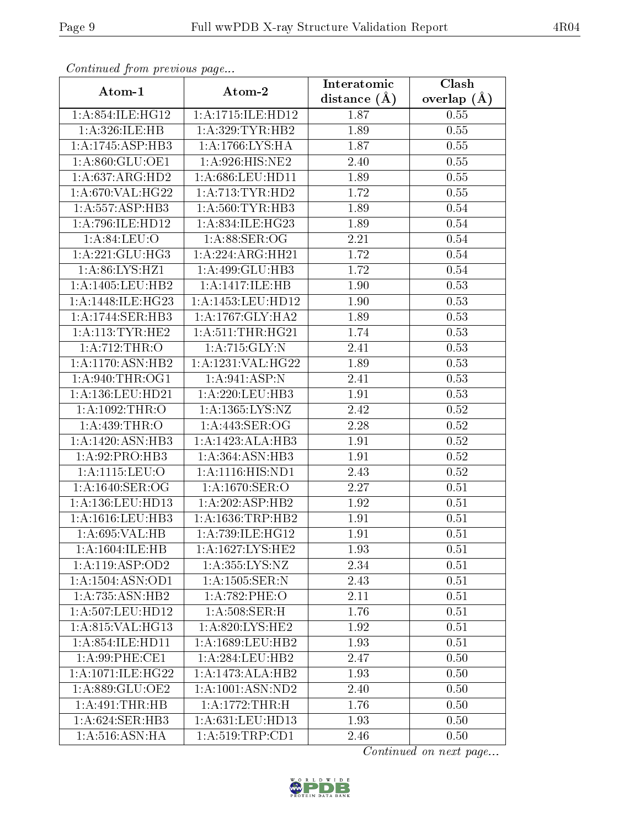| $\cdots$ $\cdots$ $\cdots$ $\cdots$ $\cdots$ $\cdots$ $\cdots$ $\cdots$ $\cdots$ $\cdots$ $\cdots$ $\cdots$ $\cdots$ $\cdots$ $\cdots$ $\cdots$ $\cdots$ $\cdots$ $\cdots$ $\cdots$ $\cdots$ $\cdots$ $\cdots$ $\cdots$ $\cdots$ $\cdots$ $\cdots$ $\cdots$ $\cdots$ $\cdots$ $\cdots$ $\cdots$ $\cdots$ $\cdots$ $\cdots$ $\cdots$ $\cdots$<br>Atom-1 | Atom-2                       | Interatomic      | Clash         |
|--------------------------------------------------------------------------------------------------------------------------------------------------------------------------------------------------------------------------------------------------------------------------------------------------------------------------------------------------------|------------------------------|------------------|---------------|
|                                                                                                                                                                                                                                                                                                                                                        |                              | distance $(\AA)$ | overlap $(A)$ |
| 1:A:854:ILE:HG12                                                                                                                                                                                                                                                                                                                                       | 1:A:1715:ILE:HD12            | 1.87             | 0.55          |
| 1:A:326:ILE:HB                                                                                                                                                                                                                                                                                                                                         | 1:A:329:TYR:HB2              | 1.89             | 0.55          |
| 1:A:1745:ASP:HB3                                                                                                                                                                                                                                                                                                                                       | 1:A:1766:LYS:HA              | 1.87             | 0.55          |
| 1: A:860: GLU:OE1                                                                                                                                                                                                                                                                                                                                      | 1:A:926:HIS:NE2              | 2.40             | 0.55          |
| 1:A:637:ARG:HD2                                                                                                                                                                                                                                                                                                                                        | 1:A:686:LEU:HD11             | 1.89             | 0.55          |
| 1:A:670:VAL:HG22                                                                                                                                                                                                                                                                                                                                       | 1:A:713:TYR:HD2              | 1.72             | 0.55          |
| 1:A:557:ASP:HB3                                                                                                                                                                                                                                                                                                                                        | 1: A:560: TYR: HB3           | 1.89             | 0.54          |
| 1: A:796: ILE: HD12                                                                                                                                                                                                                                                                                                                                    | 1: A:834: ILE: HG23          | 1.89             | 0.54          |
| 1: A:84:LEU:O                                                                                                                                                                                                                                                                                                                                          | 1: A:88: SER:OG              | 2.21             | 0.54          |
| 1: A:221: GLU:HG3                                                                                                                                                                                                                                                                                                                                      | 1:A:224:ARG:HH21             | 1.72             | 0.54          |
| 1: A:86: LYS: HZ1                                                                                                                                                                                                                                                                                                                                      | 1:A:499:GLU:HB3              | 1.72             | 0.54          |
| 1:A:1405:LEU:HB2                                                                                                                                                                                                                                                                                                                                       | 1:A:1417:ILE:HB              | 1.90             | 0.53          |
| 1: A: 1448: ILE: HG23                                                                                                                                                                                                                                                                                                                                  | 1:A:1453:LEU:HD12            | 1.90             | 0.53          |
| 1: A:1744: SER:HB3                                                                                                                                                                                                                                                                                                                                     | 1:A:1767:GLY:HA2             | 1.89             | 0.53          |
| 1: A:113: TYR: HE2                                                                                                                                                                                                                                                                                                                                     | 1: A:511:THR:HG21            | 1.74             | 0.53          |
| 1: A:712:THR:O                                                                                                                                                                                                                                                                                                                                         | 1:A:715:GLY:N                | 2.41             | 0.53          |
| 1:A:1170:ASN:HB2                                                                                                                                                                                                                                                                                                                                       | 1: A: 1231: VAL: HG22        | 1.89             | 0.53          |
| 1: A:940:THR:OG1                                                                                                                                                                                                                                                                                                                                       | 1:A:941:ASP:N                | 2.41             | 0.53          |
| 1: A: 136: LEU: HD21                                                                                                                                                                                                                                                                                                                                   | 1: A: 220: LEU: HB3          | 1.91             | 0.53          |
| 1:A:1092:THR:O                                                                                                                                                                                                                                                                                                                                         | 1:A:1365:LYS:NZ              | 2.42             | 0.52          |
| 1: A:439:THR:O                                                                                                                                                                                                                                                                                                                                         | 1:A:443:SER:OG               | 2.28             | 0.52          |
| 1:A:1420:ASN:HB3                                                                                                                                                                                                                                                                                                                                       | 1:A:1423:ALA:HB3             | 1.91             | 0.52          |
| 1:A:92:PRO:HB3                                                                                                                                                                                                                                                                                                                                         | 1: A: 364: ASN: HB3          | 1.91             | 0.52          |
| 1:A:1115:LEU:O                                                                                                                                                                                                                                                                                                                                         | 1: A: 1116: HIS: ND1         | 2.43             | 0.52          |
| $1: A: 1640:$ SER:OG                                                                                                                                                                                                                                                                                                                                   | 1: A:1670: SER:O             | 2.27             | 0.51          |
| 1: A: 136: LEU: HD13                                                                                                                                                                                                                                                                                                                                   | 1:A:202:ASP:HB2              | 1.92             | 0.51          |
| 1:A:1616:LEU:HB3                                                                                                                                                                                                                                                                                                                                       | 1: A: 1636: TRP: HB2         | 1.91             | 0.51          |
| 1: A:695: VAL:HB                                                                                                                                                                                                                                                                                                                                       | 1: A:739: ILE: HG12          | 1.91             | 0.51          |
| 1: A: 1604: ILE: HB                                                                                                                                                                                                                                                                                                                                    | 1: A: 1627: LYS: HE2         | 1.93             | 0.51          |
| 1:A:119:ASP:OD2                                                                                                                                                                                                                                                                                                                                        | 1:A:355:LYS:NZ               | 2.34             | 0.51          |
| 1:A:1504:ASN:OD1                                                                                                                                                                                                                                                                                                                                       | 1:A:1505:SER:N               | 2.43             | 0.51          |
| 1:A:735:ASN:HB2                                                                                                                                                                                                                                                                                                                                        | 1:A:782:PHE:O                | 2.11             | 0.51          |
| 1: A: 507: LEU: HD12                                                                                                                                                                                                                                                                                                                                   | 1: A:508: SER:H              | 1.76             | 0.51          |
| 1:A:815:VAL:HG13                                                                                                                                                                                                                                                                                                                                       | 1:A:820:LYS:HE2              | 1.92             | 0.51          |
| 1:A:854:ILE:HD11                                                                                                                                                                                                                                                                                                                                       | 1:A:1689:LEU:HB2             | 1.93             | 0.51          |
| 1: A:99: PHE: CE1                                                                                                                                                                                                                                                                                                                                      | $1:A:284:LEU:\overline{HB2}$ | 2.47             | 0.50          |
| 1:A:1071:ILE:HG22                                                                                                                                                                                                                                                                                                                                      | 1:A:1473:ALA:HB2             | 1.93             | 0.50          |
| 1:A:889:GLU:OE2                                                                                                                                                                                                                                                                                                                                        | 1:A:1001:ASN:ND2             | 2.40             | 0.50          |
| 1: A:491:THR:HB                                                                                                                                                                                                                                                                                                                                        | 1:A:1772:THR:H               | 1.76             | 0.50          |
| 1: A:624: SER: HB3                                                                                                                                                                                                                                                                                                                                     | 1:A:631:LEU:HD13             | 1.93             | 0.50          |
| 1: A:516: ASN: HA                                                                                                                                                                                                                                                                                                                                      | 1:A:519:TRP:CD1              | 2.46             | $0.50\,$      |

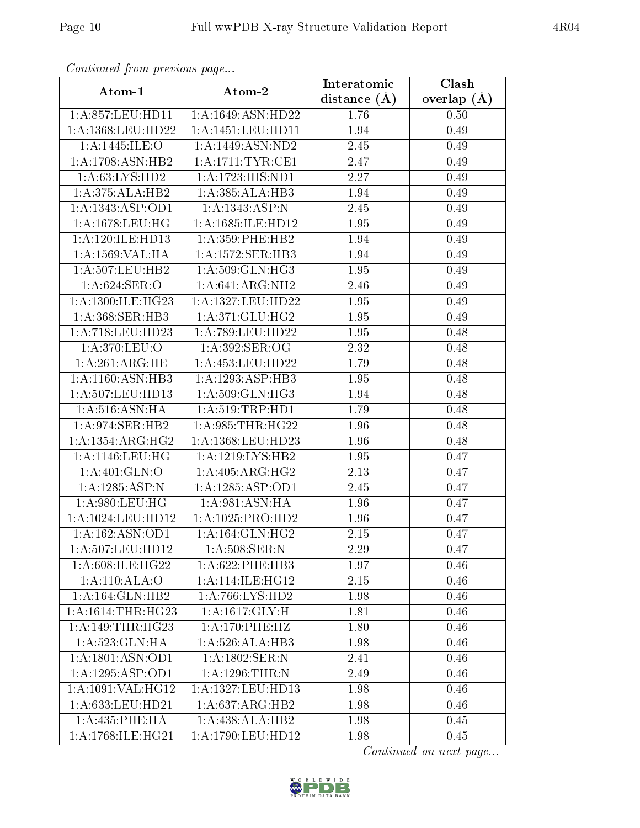| $\sum_{i=1}^{n}$<br>Atom-1     | Atom-2                               | Interatomic       | Clash           |
|--------------------------------|--------------------------------------|-------------------|-----------------|
|                                |                                      | distance $(A)$    | overlap $(\AA)$ |
|                                | 1:A:857:LEU:HD11   1:A:1649:ASN:HD22 | 1.76              | 0.50            |
| 1:A:1368:LEU:HD22              | 1:A:1451:LEU:HDI1                    | 1.94              | 0.49            |
| 1:A:1445:ILE:O                 | 1:A:1449:ASN:ND2                     | 2.45              | 0.49            |
| 1: A: 1708: ASN: HB2           | 1: A:1711:TYR:CE1                    | 2.47              | 0.49            |
| 1: A:63: LYS: HD2              | 1:A:1723:HIS:ND1                     | 2.27              | 0.49            |
| 1:A:375:ALA:HB2                | 1:A:385:ALA:HB3                      | 1.94              | 0.49            |
| 1:A:1343:ASP:OD1               | 1: A: 1343: ASP: N                   | 2.45              | 0.49            |
| 1: A: 1678: LEU: HG            | 1: A: 1685: ILE: HD12                | 1.95              | 0.49            |
| 1: A:120: ILE: HD13            | $1: A:359:$ PHE:HB2                  | 1.94              | 0.49            |
| 1: A: 1569: VAL: HA            | 1:A:1572:SER:HB3                     | 1.94              | 0.49            |
| 1: A: 507: LEU: HB2            | 1: A:509: GLN: HG3                   | 1.95              | 0.49            |
| 1: A:624:SER:O                 | 1:A:641:ARG:NH2                      | 2.46              | 0.49            |
| $1:A:1300:ILE:H\overline{G23}$ | 1:A:1327:LEU:HD22                    | 1.95              | 0.49            |
| 1:A:368:SER:HB3                | 1:A:371:GLU:HG2                      | 1.95              | 0.49            |
| 1:A:718:LEU:HD23               | 1:A:789:LEU:HD22                     | 1.95              | 0.48            |
| 1:A:370:LEU:O                  | $1: A:392$ :SER:OG                   | 2.32              | 0.48            |
| 1: A:261: ARG: HE              | 1: A: 453: LEU: HD22                 | 1.79              | 0.48            |
| 1:A:1160:ASN:HB3               | 1:A:1293:ASP:HB3                     | 1.95              | 0.48            |
| 1: A:507: LEU: HD13            | 1: A:509: GLN: HG3                   | 1.94              | 0.48            |
| 1: A:516: ASN: HA              | $1:$ A:519:TRP:HD1                   | $\overline{1.79}$ | 0.48            |
| 1: A:974: SER: HB2             | 1: A:985:THR:HG22                    | 1.96              | 0.48            |
| 1: A: 1354: ARG: HG2           | 1:A:1368:LEU:HD23                    | 1.96              | 0.48            |
| 1: A: 1146: LEU: HG            | 1:A:1219:LYS:HB2                     | 1.95              | 0.47            |
| 1: A:401: GLN:O                | 1: A:405: ARG: HG2                   | 2.13              | 0.47            |
| 1:A:1285:ASP:N                 | 1:A:1285:ASP:OD1                     | 2.45              | 0.47            |
| 1:A:980:LEU:HG                 | 1: A:981: ASN: HA                    | 1.96              | 0.47            |
| 1:A:1024:LEU:HD12              | 1:A:1025:PRO:HD2                     | 1.96              | 0.47            |
| 1:A:162:ASN:OD1                | 1: A: 164: GLN: HG2                  | 2.15              | 0.47            |
| 1: A: 507: LEU: HD12           | 1: A:508: SER: N                     | 2.29              | 0.47            |
| 1: A:608: ILE: HG22            | 1: A:622:PHE:HB3                     | 1.97              | 0.46            |
| 1: A:110:ALA:O                 | $1:A:114:\overline{\text{ILE:HG12}}$ | 2.15              | 0.46            |
| 1: A: 164: GLN: HB2            | 1: A:766: LYS: HD2                   | 1.98              | 0.46            |
| 1: A:1614:THR:HG23             | 1:A:1617:GLY:H                       | 1.81              | 0.46            |
| 1: A:149:THR:HG23              | 1: A:170: PHE:HZ                     | 1.80              | 0.46            |
| 1: A:523: GLN: HA              | 1:A:526:ALA:HB3                      | 1.98              | 0.46            |
| $1:A:180\overline{1:ASN:OD1}$  | 1: A: 1802: <u>SER</u> : N           | 2.41              | 0.46            |
| 1:A:1295:ASP:OD1               | 1: A: 1296: THEN: N                  | 2.49              | 0.46            |
| 1:A:1091:VAL:HG12              | 1:A:1327:LEU:HD13                    | 1.98              | 0.46            |
| 1: A:633:LEU:HD21              | 1: A:637:ARG:HB2                     | 1.98              | 0.46            |
| 1:A:435:PHE:HA                 | 1:A:438:ALA:HB2                      | 1.98              | 0.45            |
| 1: A:1768: ILE: HG21           | 1:A:1790:LEU:HD12                    | 1.98              | 0.45            |

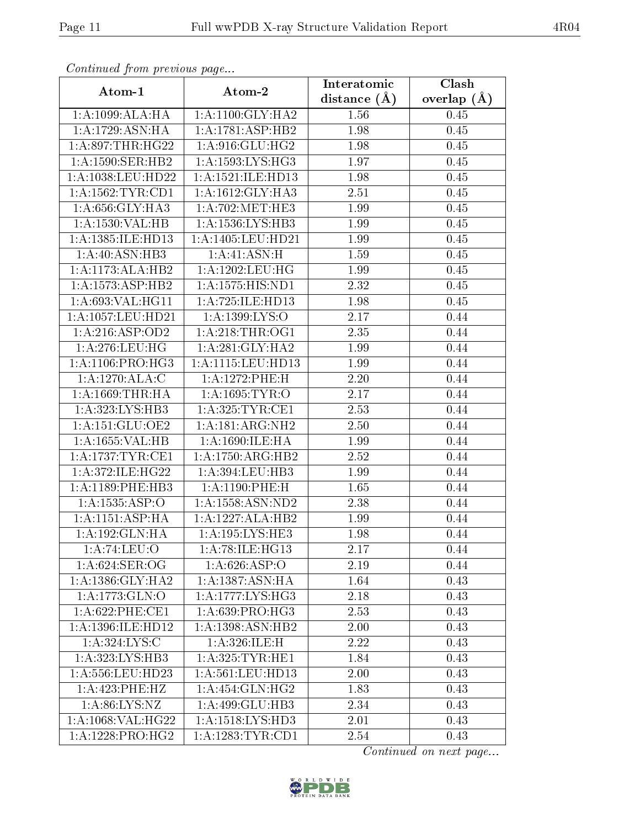| Atom-1               | Atom-2                                       | Interatomic       | Clash         |
|----------------------|----------------------------------------------|-------------------|---------------|
|                      |                                              | distance $(A)$    | overlap $(A)$ |
| 1:A:1099:ALA:HA      | 1: A:1100: GLY: HA2                          | 1.56              | 0.45          |
| 1: A: 1729: ASN: HA  | 1:A:1781:ASP:HB2                             | 1.98              | 0.45          |
| 1: A:897:THR:HG22    | 1: A:916: GLU: HG2                           | 1.98              | 0.45          |
| 1: A: 1590: SER: HB2 | 1: A: 1593: LYS: HG3                         | 1.97              | 0.45          |
| 1:A:1038:LEU:HD22    | 1: A: 1521: ILE: HD13                        | 1.98              | 0.45          |
| 1: A: 1562: TYR: CD1 | 1: A: 1612: GLY: HA3                         | 2.51              | 0.45          |
| 1:A:656:GLY:HA3      | $1: A:702: \overline{\text{MET}:\text{HE3}}$ | 1.99              | 0.45          |
| 1:A:1530:VAL:HB      | 1: A: 1536: LYS: HB3                         | 1.99              | 0.45          |
| 1:A:1385:ILE:HD13    | 1:A:1405:LEU:HD21                            | 1.99              | 0.45          |
| 1:A:40:ASN:HB3       | 1:A:41:ASN:H                                 | 1.59              | 0.45          |
| 1:A:1173:ALA:HB2     | 1: A: 1202: LEU: HG                          | 1.99              | 0.45          |
| 1: A: 1573: ASP: HB2 | 1: A: 1575: HIS: ND1                         | 2.32              | 0.45          |
| 1: A:693: VAL:HGI1   | 1: A: 725: ILE: HD13                         | 1.98              | 0.45          |
| 1:A:1057:LEU:HD21    | 1: A: 1399: LYS: O                           | 2.17              | 0.44          |
| 1:A:216:ASP:OD2      | 1: A:218:THR:OG1                             | 2.35              | 0.44          |
| 1: A:276:LEU:HG      | 1:A:281:GLY:HA2                              | 1.99              | 0.44          |
| 1: A:1106: PRO:HG3   | 1:A:1115:LEU:HD13                            | 1.99              | 0.44          |
| 1:A:1270:ALA:C       | 1:A:1272:PHE:H                               | 2.20              | 0.44          |
| 1: A: 1669: THR: HA  | 1: A: 1695: TYR: O                           | $\overline{2.17}$ | 0.44          |
| 1: A: 323: LYS: HB3  | 1: A:325: TYR: CE1                           | 2.53              | 0.44          |
| 1: A:151: GLU:OE2    | $1:A:181:ARG:\overline{\text{NH2}}$          | 2.50              | 0.44          |
| 1:A:1655:VAL:HB      | 1:A:1690:ILE:HA                              | 1.99              | 0.44          |
| 1: A:1737: TYR: CE1  | 1:A:1750:ARG:HB2                             | 2.52              | 0.44          |
| 1:A:372:ILE:HG22     | 1:A:394:LEU:HB3                              | 1.99              | 0.44          |
| 1: A:1189: PHE:HB3   | 1: A:1190: PHE:H                             | 1.65              | 0.44          |
| 1:A:1535:ASP:O       | 1:A:1558:ASN:ND2                             | 2.38              | 0.44          |
| 1: A:1151: ASP: HA   | 1:A:1227:ALA:HB2                             | 1.99              | 0.44          |
| 1:A:192:GLN:HA       | 1: A: 195: LYS: HE3                          | 1.98              | 0.44          |
| 1:A:74:LEU:O         | 1: A:78: ILE: HG13                           | 2.17              | 0.44          |
| 1: A:624: SER:OG     | 1: A:626: ASP:O                              | 2.19              | 0.44          |
| 1: A: 1386: GLY: HA2 | 1: A: 1387: ASN: HA                          | 1.64              | 0.43          |
| 1: A: 1773: GLN: O   | 1:A:1777:LYS:HG3                             | 2.18              | 0.43          |
| 1: A:622: PHE:CE1    | 1:A:639:PRO:HG3                              | 2.53              | 0.43          |
| 1:A:1396:ILE:HD12    | 1:A:1398:ASN:HB2                             | 2.00              | 0.43          |
| 1:A:324:LYS:C        | 1:A:326:ILE:H                                | 2.22              | 0.43          |
| 1: A: 323: LYS: HB3  | 1: A:325: TYR: HE1                           | 1.84              | 0.43          |
| 1:A:556:LEU:HD23     | 1:A:561:LEU:HD13                             | 2.00              | 0.43          |
| 1:A:423:PHE:HZ       | $1: A:454: \overline{GLN:HG2}$               | 1.83              | 0.43          |
| 1: A:86: LYS:NZ      | 1:A:499:GLU:HB3                              | 2.34              | 0.43          |
| 1:A:1068:VAL:HG22    | 1:A:1518:LYS:HD3                             | 2.01              | 0.43          |
| 1:A:1228:PRO:HG2     | 1:A:1283:TYR:CD1                             | 2.54              | 0.43          |

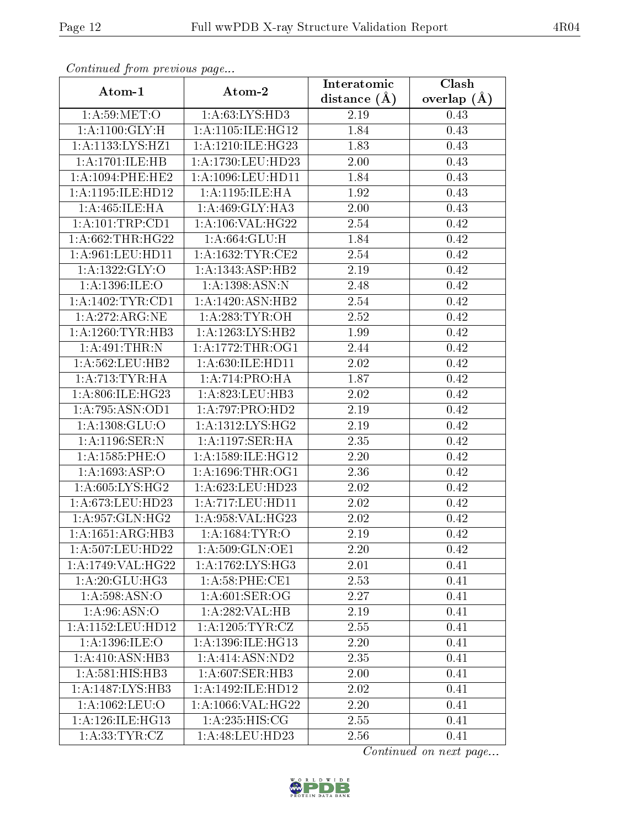| Atom-1               | Atom-2                | Interatomic       | Clash         |
|----------------------|-----------------------|-------------------|---------------|
|                      |                       | distance $(A)$    | overlap $(A)$ |
| 1: A:59: MET:O       | 1: A:63: LYS: HD3     | 2.19              | 0.43          |
| 1: A: 1100: GLY: H   | 1: A: 1105: ILE: HG12 | 1.84              | 0.43          |
| 1:A:1133:LYS:HZ1     | 1:A:1210:ILE:HG23     | 1.83              | 0.43          |
| 1:A:1701:ILE:HB      | 1: A: 1730: LEU: HD23 | 2.00              | 0.43          |
| 1: A: 1094: PHE: HE2 | 1:A:1096:LEU:HD11     | 1.84              | 0.43          |
| 1:A:1195:ILE:HD12    | 1: A:1195: ILE: HA    | 1.92              | 0.43          |
| 1: A:465: ILE: HA    | 1:A:469:GLY:HA3       | 2.00              | 0.43          |
| 1: A: 101:TRP: CD1   | 1: A:106: VAL:HG22    | 2.54              | 0.42          |
| 1: A:662:THR:HG22    | 1:A:664:GLU:H         | 1.84              | 0.42          |
| 1:A:961:LEU:HD11     | 1: A: 1632: TYR: CE2  | 2.54              | $0.42\,$      |
| 1:A:1322:GLY:O       | 1:A:1343:ASP:HB2      | 2.19              | 0.42          |
| 1: A: 1396: ILE: O   | 1:A:1398:ASN:N        | 2.48              | $0.42\,$      |
| 1: A:1402:TYR:CD1    | 1:A:1420:ASN:HB2      | 2.54              | 0.42          |
| 1: A:272:ARG:NE      | 1: A:283:TYR:OH       | 2.52              | 0.42          |
| 1:A:1260:TYR:HB3     | 1:A:1263:LYS:HB2      | 1.99              | 0.42          |
| 1:A:491:THR:N        | 1:A:1772:THR:OG1      | 2.44              | 0.42          |
| 1: A: 562: LEU: HB2  | 1: A:630: ILE: HD11   | 2.02              | 0.42          |
| 1: A:713: TYR: HA    | 1:A:714:PRO:HA        | 1.87              | 0.42          |
| 1:A:806:ILE:HG23     | 1:A:823:LEU:HB3       | 2.02              | 0.42          |
| 1:A:795:ASN:OD1      | 1:A:797:PRO:HD2       | 2.19              | 0.42          |
| 1: A: 1308: GLU:O    | 1: A: 1312: LYS: HG2  | 2.19              | 0.42          |
| 1:A:1196:SER:N       | 1: A:1197: SER: HA    | 2.35              | 0.42          |
| 1:A:1585:PHE:O       | 1:A:1589:ILE:HG12     | 2.20              | 0.42          |
| 1:A:1693:ASP:O       | 1:A:1696:THR:OG1      | 2.36              | 0.42          |
| 1: A:605: LYS: HG2   | 1: A:623:LEU:HD23     | 2.02              | 0.42          |
| 1:A:673:LEU:HD23     | 1: A: 717: LEU: HD11  | 2.02              | 0.42          |
| 1: A:957: GLN: HG2   | 1:A:958:VAL:HG23      | 2.02              | $0.42\,$      |
| 1: A: 1651: ARG: HB3 | 1:A:1684:TYR:O        | 2.19              | 0.42          |
| 1: A: 507: LEU: HD22 | 1:A:509:GLN:OE1       | 2.20              | 0.42          |
| 1:A:1749:VAL:HG22    | 1:A:1762:LYS:HG3      | 2.01              | 0.41          |
| 1: A:20: GLU:HG3     | $1: A:58:$ PHE:CE1    | 2.53              | 0.41          |
| 1: A: 598: ASN:O     | 1: A:601:SER:OG       | 2.27              | 0.41          |
| 1: A:96: ASN:O       | 1:A:282:VAL:HB        | $\overline{2.19}$ | 0.41          |
| 1:A:1152:LEU:HD12    | 1: A: 1205: TYR: CZ   | 2.55              | 0.41          |
| 1:A:1396:ILE:O       | 1:A:1396:ILE:HG13     | 2.20              | 0.41          |
| 1:A:410:ASN:HB3      | 1: A:414: ASN:ND2     | 2.35              | 0.41          |
| 1:A:581:HIS:HB3      | 1:A:607:SER:HB3       | 2.00              | 0.41          |
| 1:A:1487:LYS:HB3     | 1:A:1492:ILE:HD12     | 2.02              | 0.41          |
| 1:A:1062:LEU:O       | 1:A:1066:VAL:HG22     | 2.20              | 0.41          |
| 1: A:126: ILE: HG13  | 1: A:235: HIS: CG     | 2.55              | 0.41          |
| 1: A: 33: TYR: CZ    | 1: A:48: LEU:HD23     | 2.56              | 0.41          |

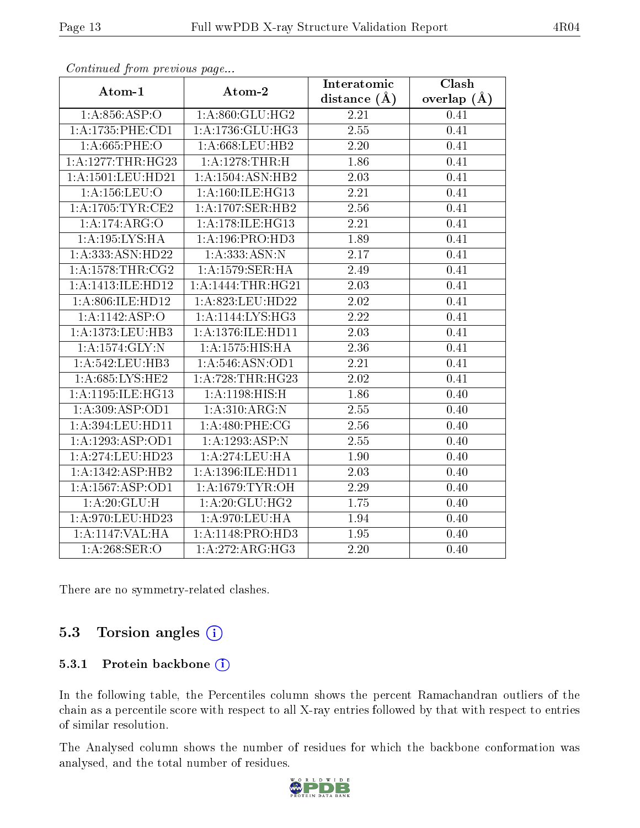| Atom-1               | Atom-2              | Interatomic      | Clash         |
|----------------------|---------------------|------------------|---------------|
|                      |                     | distance $(\AA)$ | overlap $(A)$ |
| 1: A:856: ASP:O      | 1: A:860: GLU:HG2   | 2.21             | 0.41          |
| 1:A:1735:PHE:CD1     | 1:A:1736:GLU:HG3    | 2.55             | 0.41          |
| $1: A:665:$ PHE:O    | 1: A:668:LEU:HB2    | 2.20             | 0.41          |
| 1:A:1277:THR:HG23    | 1:A:1278:THR:H      | 1.86             | 0.41          |
| 1:A:1501:LEU:HD21    | 1:A:1504:ASN:HB2    | 2.03             | 0.41          |
| 1:A:156:LEU:O        | 1:A:160:ILE:HG13    | 2.21             | 0.41          |
| 1:A:1705:TYR:CE2     | 1:A:1707:SER:HB2    | 2.56             | 0.41          |
| 1:A:174:ARG:O        | 1:A:178:ILE:HG13    | 2.21             | 0.41          |
| 1: A: 195: LYS: HA   | 1: A:196: PRO:HD3   | 1.89             | 0.41          |
| 1:A:333:ASN:HD22     | 1:A:333:ASN:N       | 2.17             | 0.41          |
| 1: A: 1578: THR: CG2 | 1:A:1579:SER:HA     | 2.49             | 0.41          |
| 1:A:1413:ILE:HD12    | 1:A:1444:THR:HG21   | 2.03             | 0.41          |
| 1: A:806: ILE: HD12  | 1: A:823:LEU:HD22   | $2.02\,$         | 0.41          |
| 1:A:1142:ASP:O       | 1:A:1144:LYS:HG3    | 2.22             | 0.41          |
| 1:A:1373:LEU:HB3     | 1:A:1376:ILE:HD11   | 2.03             | 0.41          |
| 1: A: 1574: GLY: N   | 1: A: 1575: HIS: HA | 2.36             | 0.41          |
| 1:A:542:LEU:HB3      | 1: A:546: ASN:OD1   | 2.21             | 0.41          |
| 1: A:685:LYS:HE2     | 1: A:728:THR:HG23   | 2.02             | 0.41          |
| 1:A:1195:ILE:HG13    | 1:A:1198:HIS:H      | 1.86             | 0.40          |
| 1:A:309:ASP:OD1      | 1:A:310:ARG:N       | 2.55             | 0.40          |
| 1:A:394:LEU:HD11     | 1:A:480:PHE:CG      | 2.56             | 0.40          |
| 1:A:1293:ASP:OD1     | 1:A:1293:ASP:N      | 2.55             | 0.40          |
| 1:A:274:LEU:HD23     | 1: A:274:LEU:HA     | 1.90             | 0.40          |
| 1:A:1342:ASP:HB2     | 1:A:1396:ILE:HD11   | 2.03             | 0.40          |
| 1:A:1567:ASP:OD1     | 1: A: 1679: TYR: OH | 2.29             | 0.40          |
| 1:A:20:GLU:H         | 1: A:20: GLU:HG2    | 1.75             | 0.40          |
| 1:A:970:LEU:HD23     | 1: A:970:LEU:HA     | 1.94             | 0.40          |
| 1:A:1147:VAL:HA      | 1:A:1148:PRO:HD3    | 1.95             | 0.40          |
| 1: A:268: SER:O      | 1:A:272:ARG:HG3     | 2.20             | 0.40          |

There are no symmetry-related clashes.

### 5.3 Torsion angles (i)

#### 5.3.1 Protein backbone (i)

In the following table, the Percentiles column shows the percent Ramachandran outliers of the chain as a percentile score with respect to all X-ray entries followed by that with respect to entries of similar resolution.

The Analysed column shows the number of residues for which the backbone conformation was analysed, and the total number of residues.



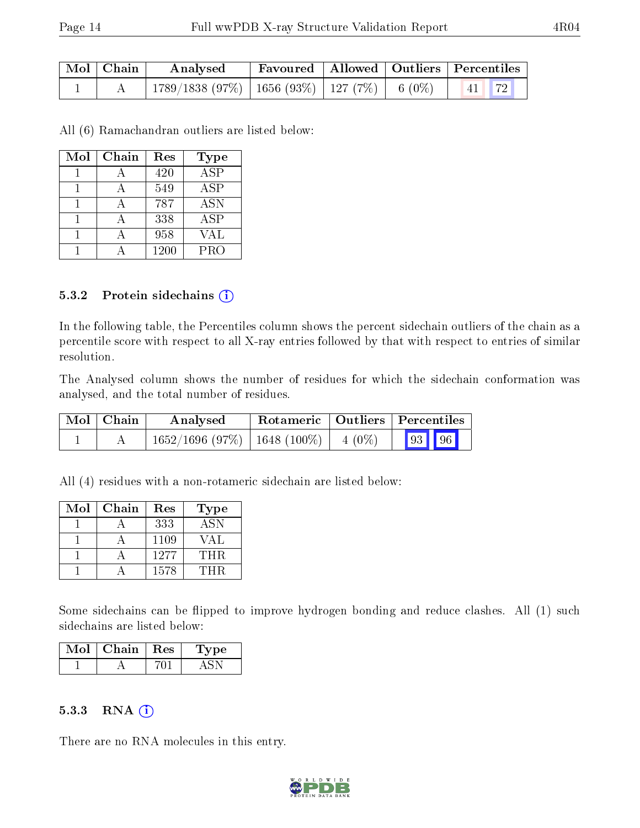| $\mid$ Mol $\mid$ Chain | Analysed                                                          |  | Favoured   Allowed   Outliers   Percentiles |
|-------------------------|-------------------------------------------------------------------|--|---------------------------------------------|
|                         | $\mid$ 1789/1838 (97%)   1656 (93%)   127 (7%)   6 (0%)   41   72 |  |                                             |

All (6) Ramachandran outliers are listed below:

| Mol | Chain | Res  | <b>Type</b>      |
|-----|-------|------|------------------|
|     |       | 420  | $\overline{ASP}$ |
|     |       | 549  | ASP              |
|     |       | 787  | <b>ASN</b>       |
|     |       | 338  | <b>ASP</b>       |
|     |       | 958  | VAL              |
|     |       | 1200 | PRO              |

#### 5.3.2 Protein sidechains (i)

In the following table, the Percentiles column shows the percent sidechain outliers of the chain as a percentile score with respect to all X-ray entries followed by that with respect to entries of similar resolution.

The Analysed column shows the number of residues for which the sidechain conformation was analysed, and the total number of residues.

| $\text{Mol} \mid \text{Chain}$ | Analysed                                 |  | Rotameric   Outliers   Percentiles |
|--------------------------------|------------------------------------------|--|------------------------------------|
|                                | $1652/1696$ (97%)   1648 (100%)   4 (0%) |  | 93 96                              |

All (4) residues with a non-rotameric sidechain are listed below:

| Mol | Chain | Res  | Type       |
|-----|-------|------|------------|
|     |       | 333  | <b>ASN</b> |
|     |       | 1109 | VAL        |
|     |       | 1277 | THR.       |
|     |       | 1578 | THR        |

Some sidechains can be flipped to improve hydrogen bonding and reduce clashes. All (1) such sidechains are listed below:

| Chain | $\perp$ Res | vpe |
|-------|-------------|-----|
|       |             |     |

#### $5.3.3$  RNA  $(i)$

There are no RNA molecules in this entry.

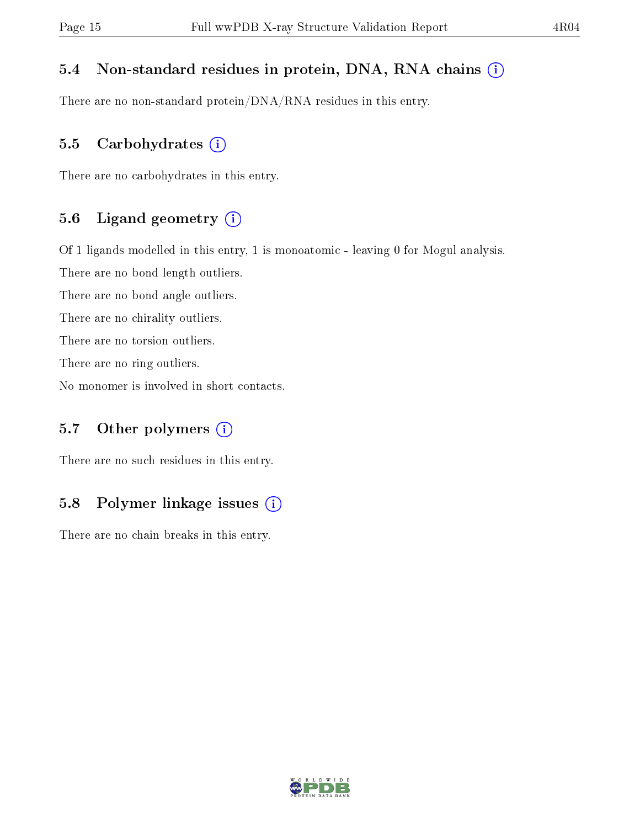#### 5.4 Non-standard residues in protein, DNA, RNA chains (i)

There are no non-standard protein/DNA/RNA residues in this entry.

#### 5.5 Carbohydrates  $(i)$

There are no carbohydrates in this entry.

#### 5.6 Ligand geometry (i)

Of 1 ligands modelled in this entry, 1 is monoatomic - leaving 0 for Mogul analysis.

There are no bond length outliers.

There are no bond angle outliers.

There are no chirality outliers.

There are no torsion outliers.

There are no ring outliers.

No monomer is involved in short contacts.

### 5.7 [O](https://www.wwpdb.org/validation/2017/XrayValidationReportHelp#nonstandard_residues_and_ligands)ther polymers  $(i)$

There are no such residues in this entry.

### 5.8 Polymer linkage issues  $(i)$

There are no chain breaks in this entry.

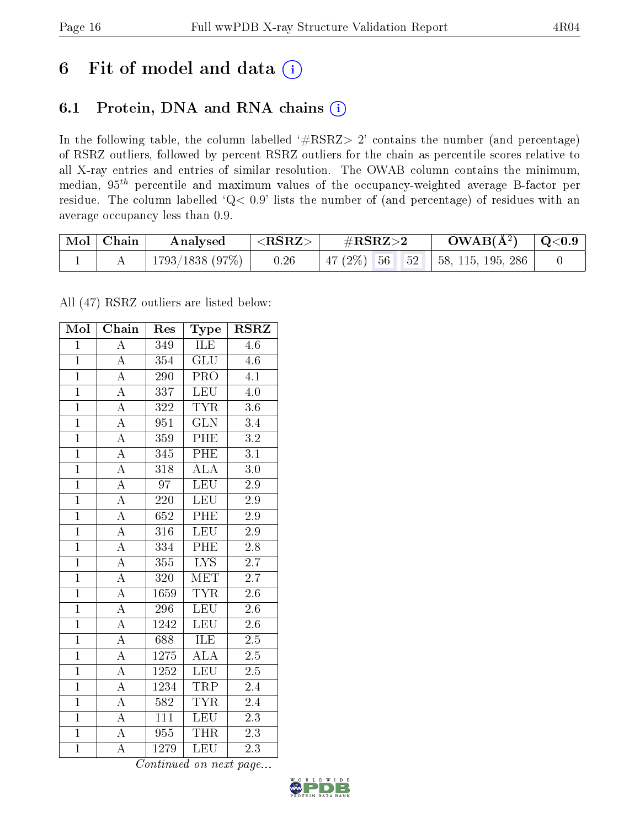## 6 Fit of model and data  $(i)$

### 6.1 Protein, DNA and RNA chains  $(i)$

In the following table, the column labelled  $#RSRZ> 2'$  contains the number (and percentage) of RSRZ outliers, followed by percent RSRZ outliers for the chain as percentile scores relative to all X-ray entries and entries of similar resolution. The OWAB column contains the minimum, median,  $95<sup>th</sup>$  percentile and maximum values of the occupancy-weighted average B-factor per residue. The column labelled ' $Q< 0.9$ ' lists the number of (and percentage) of residues with an average occupancy less than 0.9.

| $\mid$ Mol $\mid$ Chain | Analysed       | $<$ RSRZ $>$ | $\#\text{RSRZ}\text{>2}$ | $\rm{OWAB}(\AA^2)$ $\vert$ Q<0.9              |  |
|-------------------------|----------------|--------------|--------------------------|-----------------------------------------------|--|
|                         | 1793/1838(97%) | 0.26         |                          | $\mid$ 47 (2%) 56 52 $\mid$ 58, 115, 195, 286 |  |

All (47) RSRZ outliers are listed below:

| Mol            | Chain              | Res              | Type                    | <b>RSRZ</b>      |
|----------------|--------------------|------------------|-------------------------|------------------|
| $\overline{1}$ | $\overline{\rm A}$ | 349              | ĪLE                     | 4.6              |
| $\overline{1}$ | $\overline{\rm A}$ | $\overline{354}$ | $\overline{\text{GLU}}$ | 4.6              |
| $\overline{1}$ | $\overline{A}$     | 290              | $\overline{\text{PRO}}$ | $\overline{4.1}$ |
| $\overline{1}$ | $\overline{\rm A}$ | 337              | <b>LEU</b>              | 4.0              |
| $\overline{1}$ | $\overline{\rm A}$ | 322              | $\overline{TYR}$        | $\overline{3.6}$ |
| $\overline{1}$ | $\overline{\rm A}$ | 951              | $\overline{\text{GLN}}$ | 3.4              |
| $\overline{1}$ | $\overline{\rm A}$ | 359              | PHE                     | $3.2\,$          |
| $\overline{1}$ | $\overline{\rm A}$ | 345              | PHE                     | $\overline{3.1}$ |
| $\overline{1}$ | $\overline{\rm A}$ | $\overline{318}$ | $\overline{\rm ALA}$    | $\overline{3.0}$ |
| $\overline{1}$ | $\overline{\rm A}$ | $\overline{97}$  | <b>LEU</b>              | $\overline{2.9}$ |
| $\mathbf{1}$   | $\overline{\rm A}$ | 220              | $\overline{\text{LEU}}$ | 2.9              |
| $\overline{1}$ | $\overline{\rm A}$ | 652              | PHE                     | 2.9              |
| $\overline{1}$ | $\overline{\rm A}$ | 316              | <b>LEU</b>              | 2.9              |
| $\overline{1}$ | A                  | 334              | PHE                     | 2.8              |
| $\overline{1}$ | $\overline{\rm A}$ | 355              | $\overline{\text{LYS}}$ | 2.7              |
| $\overline{1}$ | $\overline{\rm A}$ | 320              | MET                     | $\overline{2.7}$ |
| $\overline{1}$ | $\overline{\rm A}$ | 1659             | <b>TYR</b>              | $\overline{2.6}$ |
| $\mathbf{1}$   | $\overline{\rm A}$ | 296              | LEU                     | 2.6              |
| $\mathbf{1}$   | $\overline{\rm A}$ | 1242             | LEU                     | 2.6              |
| $\overline{1}$ | $\overline{\rm A}$ | 688              | $\overline{\text{ILE}}$ | 2.5              |
| $\overline{1}$ | $\overline{\rm A}$ | 1275             | <b>ALA</b>              | $2.5\,$          |
| $\overline{1}$ | $\overline{A}$     | 1252             | <b>LEU</b>              | $\overline{2.5}$ |
| $\overline{1}$ | $\overline{\rm A}$ | 1234             | $\overline{\text{TRP}}$ | 2.4              |
| $\overline{1}$ | $\overline{\rm A}$ | 582              | <b>TYR</b>              | 2.4              |
| $\overline{1}$ | $\overline{\rm A}$ | 111              | <b>LEU</b>              | 2.3              |
| $\overline{1}$ | $\overline{\rm A}$ | 955              | <b>THR</b>              | 2.3              |
| $\overline{1}$ | $\overline{\rm A}$ | 1279             | $\overline{\text{LEU}}$ | 2.3              |

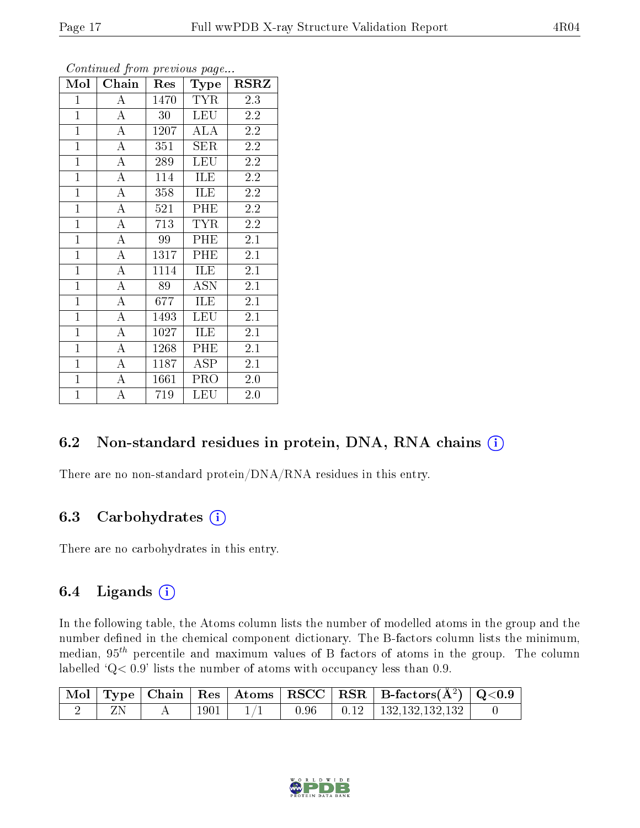| $\overline{\text{Mol}}$ | Chain              | Res  | Type                    | <b>RSRZ</b>      |  |
|-------------------------|--------------------|------|-------------------------|------------------|--|
| $\mathbf{1}$            | $\bf{A}$           | 1470 | <b>TYR</b>              | 2.3              |  |
| $\overline{1}$          | $\bf{A}$           | 30   | <b>LEU</b>              | 2.2              |  |
| $\mathbf{1}$            | $\overline{A}$     | 1207 | ALA                     | $2.2\,$          |  |
| $\overline{1}$          | $\bf{A}$           | 351  | SER                     | 2.2              |  |
| $\overline{1}$          | $\overline{\rm A}$ | 289  | $\overline{\text{LEU}}$ | $\overline{2.2}$ |  |
| $\mathbf{1}$            | $\overline{A}$     | 114  | ILE                     | 2.2              |  |
| $\mathbf{1}$            | $\bf{A}$           | 358  | ILE                     | 2.2              |  |
| $\mathbf{1}$            | $\overline{A}$     | 521  | PHE                     | 2.2              |  |
| $\overline{1}$          | $\overline{A}$     | 713  | TYR                     | 2.2              |  |
| $\mathbf{1}$            | $\overline{A}$     | 99   | PHE                     | 2.1              |  |
| $\mathbf{1}$            | $\boldsymbol{A}$   | 1317 | PHE                     | 2.1              |  |
| $\mathbf{1}$            | $\bf{A}$           | 1114 | ILE                     | 2.1              |  |
| $\overline{1}$          | $\overline{A}$     | 89   | <b>ASN</b>              | 2.1              |  |
| $\mathbf{1}$            | $\boldsymbol{A}$   | 677  | ILE                     | $2.\overline{1}$ |  |
| $\overline{1}$          | $\overline{A}$     | 1493 | <b>LEU</b>              | 2.1              |  |
| $\mathbf{1}$            | $\bf{A}$           | 1027 | ILE                     | 2.1              |  |
| $\overline{1}$          | $\overline{A}$     | 1268 | PHE                     | 2.1              |  |
| $\overline{1}$          | $\boldsymbol{A}$   | 1187 | <b>ASP</b>              | 2.1              |  |
| $\overline{1}$          | $\overline{A}$     | 1661 | PRO                     | $2.0\,$          |  |
| $\mathbf{1}$            | $\bf{A}$           | 719  | LEU                     | 2.0              |  |

### 6.2 Non-standard residues in protein, DNA, RNA chains (i)

There are no non-standard protein/DNA/RNA residues in this entry.

### 6.3 Carbohydrates (i)

There are no carbohydrates in this entry.

### 6.4 Ligands  $(i)$

In the following table, the Atoms column lists the number of modelled atoms in the group and the number defined in the chemical component dictionary. The B-factors column lists the minimum, median,  $95<sup>th</sup>$  percentile and maximum values of B factors of atoms in the group. The column labelled  $Q < 0.9$ ' lists the number of atoms with occupancy less than 0.9.

|  |      |      | $\mid$ Mol $\mid$ Type $\mid$ Chain $\mid$ Res $\mid$ Atoms $\mid$ RSCC $\mid$ RSR $\mid$ B-factors(A <sup>2</sup> ) $\mid$ Q<0.9 |  |
|--|------|------|-----------------------------------------------------------------------------------------------------------------------------------|--|
|  | 1901 | 0.96 | $\begin{array}{ c c c c c c } \hline 0.12 & 132.132.132.132 \hline \end{array}$                                                   |  |